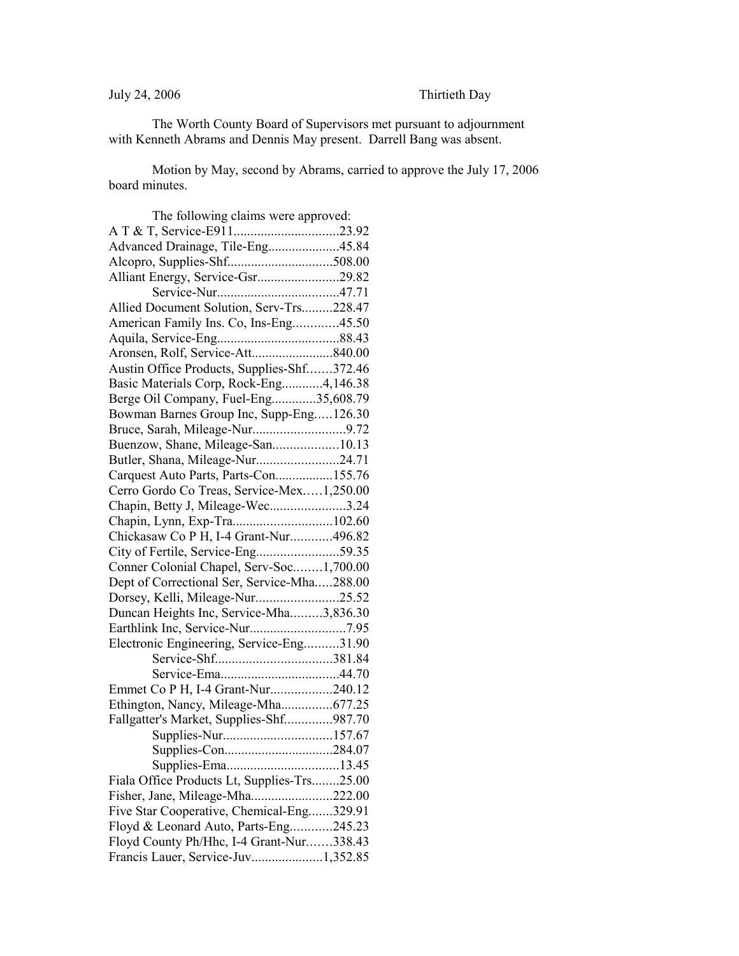## July 24, 2006 Thirtieth Day

The Worth County Board of Supervisors met pursuant to adjournment with Kenneth Abrams and Dennis May present. Darrell Bang was absent.

Motion by May, second by Abrams, carried to approve the July 17, 2006 board minutes.

| The following claims were approved:         |  |
|---------------------------------------------|--|
|                                             |  |
| Advanced Drainage, Tile-Eng45.84            |  |
|                                             |  |
| Alliant Energy, Service-Gsr29.82            |  |
|                                             |  |
| Allied Document Solution, Serv-Trs228.47    |  |
| American Family Ins. Co, Ins-Eng45.50       |  |
|                                             |  |
|                                             |  |
| Austin Office Products, Supplies-Shf372.46  |  |
| Basic Materials Corp, Rock-Eng4,146.38      |  |
| Berge Oil Company, Fuel-Eng35,608.79        |  |
| Bowman Barnes Group Inc, Supp-Eng126.30     |  |
| Bruce, Sarah, Mileage-Nur9.72               |  |
| Buenzow, Shane, Mileage-San10.13            |  |
| Butler, Shana, Mileage-Nur24.71             |  |
| Carquest Auto Parts, Parts-Con155.76        |  |
| Cerro Gordo Co Treas, Service-Mex1,250.00   |  |
| Chapin, Betty J, Mileage-Wec3.24            |  |
| Chapin, Lynn, Exp-Tra102.60                 |  |
| Chickasaw Co P H, I-4 Grant-Nur496.82       |  |
| City of Fertile, Service-Eng59.35           |  |
| Conner Colonial Chapel, Serv-Soc1,700.00    |  |
| Dept of Correctional Ser, Service-Mha288.00 |  |
| Dorsey, Kelli, Mileage-Nur25.52             |  |
| Duncan Heights Inc, Service-Mha3,836.30     |  |
|                                             |  |
| Electronic Engineering, Service-Eng31.90    |  |
|                                             |  |
|                                             |  |
| Emmet Co P H, I-4 Grant-Nur240.12           |  |
| Ethington, Nancy, Mileage-Mha677.25         |  |
| Fallgatter's Market, Supplies-Shf987.70     |  |
| Supplies-Nur157.67                          |  |
| Supplies-Con284.07                          |  |
|                                             |  |
| Fiala Office Products Lt, Supplies-Trs25.00 |  |
| Fisher, Jane, Mileage-Mha222.00             |  |
| Five Star Cooperative, Chemical-Eng329.91   |  |
| Floyd & Leonard Auto, Parts-Eng245.23       |  |
| Floyd County Ph/Hhc, I-4 Grant-Nur338.43    |  |
| Francis Lauer, Service-Juv1,352.85          |  |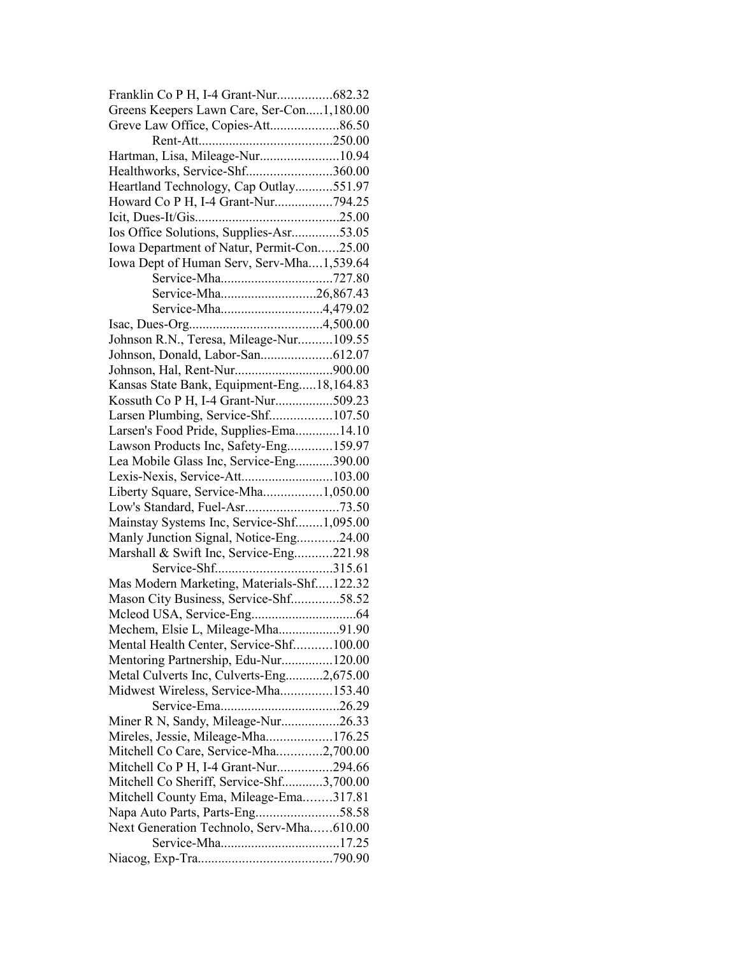| Greens Keepers Lawn Care, Ser-Con1,180.00 |  |
|-------------------------------------------|--|
| Greve Law Office, Copies-Att86.50         |  |
|                                           |  |
| Hartman, Lisa, Mileage-Nur10.94           |  |
| Healthworks, Service-Shf360.00            |  |
| Heartland Technology, Cap Outlay551.97    |  |
| Howard Co P H, I-4 Grant-Nur794.25        |  |
|                                           |  |
| Ios Office Solutions, Supplies-Asr53.05   |  |
| Iowa Department of Natur, Permit-Con25.00 |  |
| Iowa Dept of Human Serv, Serv-Mha1,539.64 |  |
|                                           |  |
| Service-Mha26,867.43                      |  |
| Service-Mha4,479.02                       |  |
|                                           |  |
| Johnson R.N., Teresa, Mileage-Nur109.55   |  |
|                                           |  |
|                                           |  |
|                                           |  |
| Kansas State Bank, Equipment-Eng18,164.83 |  |
| Kossuth Co P H, I-4 Grant-Nur509.23       |  |
| Larsen Plumbing, Service-Shf107.50        |  |
| Larsen's Food Pride, Supplies-Ema 14.10   |  |
| Lawson Products Inc, Safety-Eng159.97     |  |
| Lea Mobile Glass Inc, Service-Eng390.00   |  |
| Lexis-Nexis, Service-Att103.00            |  |
| Liberty Square, Service-Mha1,050.00       |  |
| Low's Standard, Fuel-Asr73.50             |  |
| Mainstay Systems Inc, Service-Shf1,095.00 |  |
| Manly Junction Signal, Notice-Eng24.00    |  |
| Marshall & Swift Inc, Service-Eng221.98   |  |
|                                           |  |
| Mas Modern Marketing, Materials-Shf122.32 |  |
| Mason City Business, Service-Shf58.52     |  |
|                                           |  |
| Mechem, Elsie L, Mileage-Mha91.90         |  |
| Mental Health Center, Service-Shf100.00   |  |
| Mentoring Partnership, Edu-Nur120.00      |  |
| Metal Culverts Inc, Culverts-Eng2,675.00  |  |
| Midwest Wireless, Service-Mha153.40       |  |
|                                           |  |
| Miner R N, Sandy, Mileage-Nur26.33        |  |
| Mireles, Jessie, Mileage-Mha176.25        |  |
| Mitchell Co Care, Service-Mha2,700.00     |  |
| Mitchell Co P H, I-4 Grant-Nur294.66      |  |
| Mitchell Co Sheriff, Service-Shf3,700.00  |  |
| Mitchell County Ema, Mileage-Ema317.81    |  |
| Napa Auto Parts, Parts-Eng58.58           |  |
| Next Generation Technolo, Serv-Mha610.00  |  |
|                                           |  |
|                                           |  |
|                                           |  |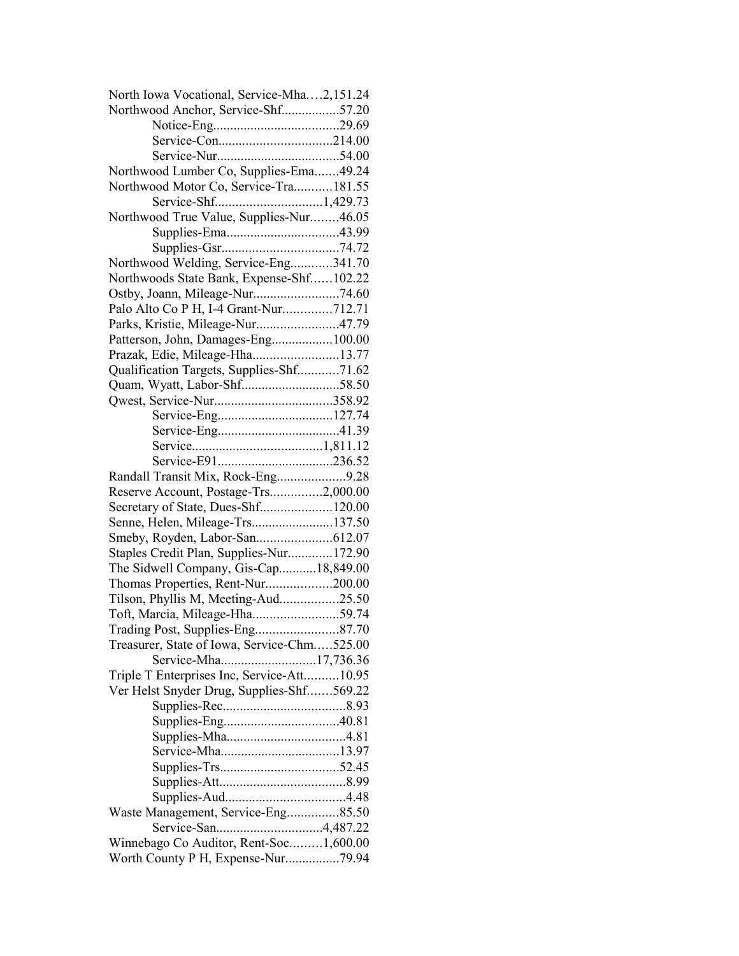| North Iowa Vocational, Service-Mha2,151.24  |  |
|---------------------------------------------|--|
| Northwood Anchor, Service-Shf57.20          |  |
|                                             |  |
|                                             |  |
|                                             |  |
| Northwood Lumber Co, Supplies-Ema49.24      |  |
| Northwood Motor Co, Service-Tra181.55       |  |
|                                             |  |
| Northwood True Value, Supplies-Nur46.05     |  |
|                                             |  |
|                                             |  |
| Northwood Welding, Service-Eng341.70        |  |
| Northwoods State Bank, Expense-Shf102.22    |  |
|                                             |  |
| Palo Alto Co P H, I-4 Grant-Nur712.71       |  |
| Parks, Kristie, Mileage-Nur47.79            |  |
| Patterson, John, Damages-Eng100.00          |  |
| Prazak, Edie, Mileage-Hha13.77              |  |
| Qualification Targets, Supplies-Shf71.62    |  |
| Quam, Wyatt, Labor-Shf58.50                 |  |
|                                             |  |
|                                             |  |
|                                             |  |
|                                             |  |
|                                             |  |
| Randall Transit Mix, Rock-Eng9.28           |  |
| Reserve Account, Postage-Trs2,000.00        |  |
| Secretary of State, Dues-Shf120.00          |  |
| Senne, Helen, Mileage-Trs137.50             |  |
|                                             |  |
| Staples Credit Plan, Supplies-Nur172.90     |  |
| The Sidwell Company, Gis-Cap18,849.00       |  |
| Thomas Properties, Rent-Nur200.00           |  |
| Tilson, Phyllis M, Meeting-Aud25.50         |  |
| Toft, Marcia, Mileage-Hha59.74              |  |
|                                             |  |
| Treasurer, State of Iowa, Service-Chm525.00 |  |
| Service-Mha17,736.36                        |  |
| Triple T Enterprises Inc, Service-Att10.95  |  |
| Ver Helst Snyder Drug, Supplies-Shf569.22   |  |
|                                             |  |
|                                             |  |
|                                             |  |
|                                             |  |
|                                             |  |
|                                             |  |
|                                             |  |
| Waste Management, Service-Eng85.50          |  |
|                                             |  |
| Winnebago Co Auditor, Rent-Soc1,600.00      |  |
|                                             |  |
|                                             |  |